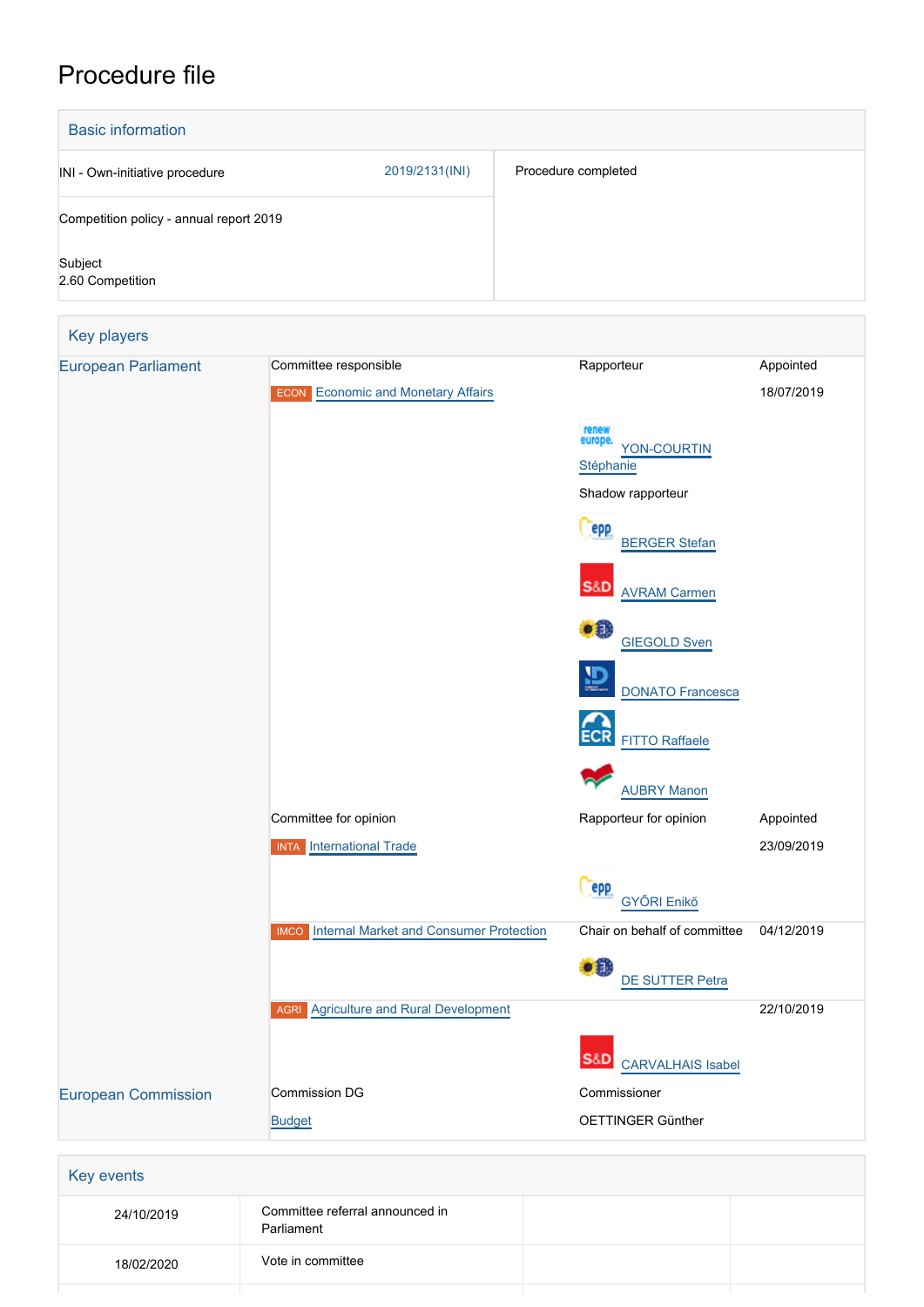# Procedure file

| <b>Basic information</b>                |                                                                    |                                                    |                         |  |
|-----------------------------------------|--------------------------------------------------------------------|----------------------------------------------------|-------------------------|--|
| INI - Own-initiative procedure          | 2019/2131(INI)                                                     | Procedure completed                                |                         |  |
| Competition policy - annual report 2019 |                                                                    |                                                    |                         |  |
| Subject<br>2.60 Competition             |                                                                    |                                                    |                         |  |
| Key players                             |                                                                    |                                                    |                         |  |
| <b>European Parliament</b>              | Committee responsible<br><b>ECON</b> Economic and Monetary Affairs | Rapporteur                                         | Appointed<br>18/07/2019 |  |
|                                         |                                                                    | renew<br>europe<br><b>YON-COURTIN</b><br>Stéphanie |                         |  |
|                                         |                                                                    | Shadow rapporteur                                  |                         |  |
|                                         |                                                                    | epp<br><b>BERGER Stefan</b>                        |                         |  |

| <b>European Parliament</b> | Committee responsible                                  | Rapporteur                                         | Appointed  |
|----------------------------|--------------------------------------------------------|----------------------------------------------------|------------|
|                            | <b>ECON</b> Economic and Monetary Affairs              |                                                    | 18/07/2019 |
|                            |                                                        | renew<br>europe.<br>YON-COURTIN<br>Stéphanie       |            |
|                            |                                                        | Shadow rapporteur                                  |            |
|                            |                                                        | epp<br><b>BERGER Stefan</b>                        |            |
|                            |                                                        | <b>S&amp;D</b><br><b>AVRAM Carmen</b>              |            |
|                            |                                                        | •8<br><b>GIEGOLD Sven</b>                          |            |
|                            |                                                        | $\overline{\mathbf{D}}$<br><b>DONATO Francesca</b> |            |
|                            |                                                        | <b>FITTO Raffaele</b>                              |            |
|                            |                                                        | <b>AUBRY Manon</b>                                 |            |
|                            | Committee for opinion                                  | Rapporteur for opinion                             | Appointed  |
|                            | <b>INTA</b> International Trade                        |                                                    | 23/09/2019 |
|                            |                                                        | <b>epp</b><br>GYŐRI Enikő                          |            |
|                            | Internal Market and Consumer Protection<br><b>IMCO</b> | Chair on behalf of committee                       | 04/12/2019 |
|                            |                                                        | $\bullet$<br>DE SUTTER Petra                       |            |
|                            | <b>AGRI</b> Agriculture and Rural Development          |                                                    | 22/10/2019 |
|                            |                                                        | S&D CARVALHAIS Isabel                              |            |
| <b>European Commission</b> | <b>Commission DG</b>                                   | Commissioner                                       |            |
|                            | <b>Budget</b>                                          | OETTINGER Günther                                  |            |
|                            |                                                        |                                                    |            |
| Key events                 |                                                        |                                                    |            |
| 24/10/2019                 | Committee referral announced in<br>Parliament          |                                                    |            |

18/02/2020 Vote in committee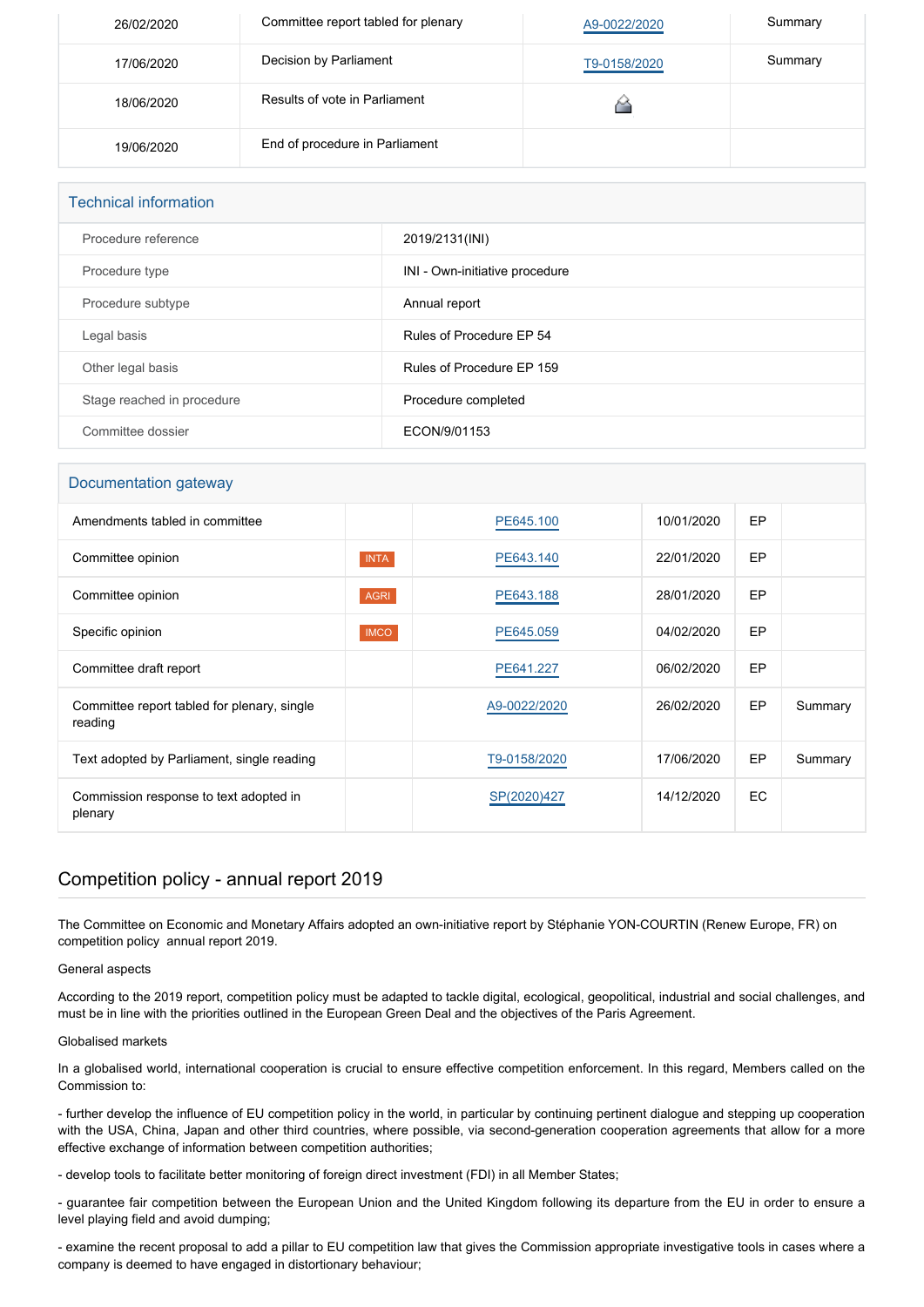| 26/02/2020 | Committee report tabled for plenary | A9-0022/2020 | Summary |
|------------|-------------------------------------|--------------|---------|
| 17/06/2020 | Decision by Parliament              | T9-0158/2020 | Summary |
| 18/06/2020 | Results of vote in Parliament       |              |         |
| 19/06/2020 | End of procedure in Parliament      |              |         |

| <b>Technical information</b> |                                |
|------------------------------|--------------------------------|
| Procedure reference          | 2019/2131(INI)                 |
| Procedure type               | INI - Own-initiative procedure |
| Procedure subtype            | Annual report                  |
| Legal basis                  | Rules of Procedure EP 54       |
| Other legal basis            | Rules of Procedure EP 159      |
| Stage reached in procedure   | Procedure completed            |
| Committee dossier            | ECON/9/01153                   |

# Documentation gateway

| Amendments tabled in committee                         |             | PE645.100    | 10/01/2020 | EP  |         |
|--------------------------------------------------------|-------------|--------------|------------|-----|---------|
| Committee opinion                                      | <b>INTA</b> | PE643.140    | 22/01/2020 | EP  |         |
| Committee opinion                                      | <b>AGRI</b> | PE643.188    | 28/01/2020 | EP  |         |
| Specific opinion                                       | <b>IMCO</b> | PE645.059    | 04/02/2020 | EP  |         |
| Committee draft report                                 |             | PE641.227    | 06/02/2020 | EP  |         |
| Committee report tabled for plenary, single<br>reading |             | A9-0022/2020 | 26/02/2020 | EP  | Summary |
| Text adopted by Parliament, single reading             |             | T9-0158/2020 | 17/06/2020 | EP  | Summary |
| Commission response to text adopted in<br>plenary      |             | SP(2020)427  | 14/12/2020 | EC. |         |

# Competition policy - annual report 2019

The Committee on Economic and Monetary Affairs adopted an own-initiative report by Stéphanie YON-COURTIN (Renew Europe, FR) on competition policy annual report 2019.

# General aspects

According to the 2019 report, competition policy must be adapted to tackle digital, ecological, geopolitical, industrial and social challenges, and must be in line with the priorities outlined in the European Green Deal and the objectives of the Paris Agreement.

# Globalised markets

In a globalised world, international cooperation is crucial to ensure effective competition enforcement. In this regard, Members called on the Commission to:

- further develop the influence of EU competition policy in the world, in particular by continuing pertinent dialogue and stepping up cooperation with the USA, China, Japan and other third countries, where possible, via second-generation cooperation agreements that allow for a more effective exchange of information between competition authorities;

- develop tools to facilitate better monitoring of foreign direct investment (FDI) in all Member States;

- guarantee fair competition between the European Union and the United Kingdom following its departure from the EU in order to ensure a level playing field and avoid dumping;

- examine the recent proposal to add a pillar to EU competition law that gives the Commission appropriate investigative tools in cases where a company is deemed to have engaged in distortionary behaviour;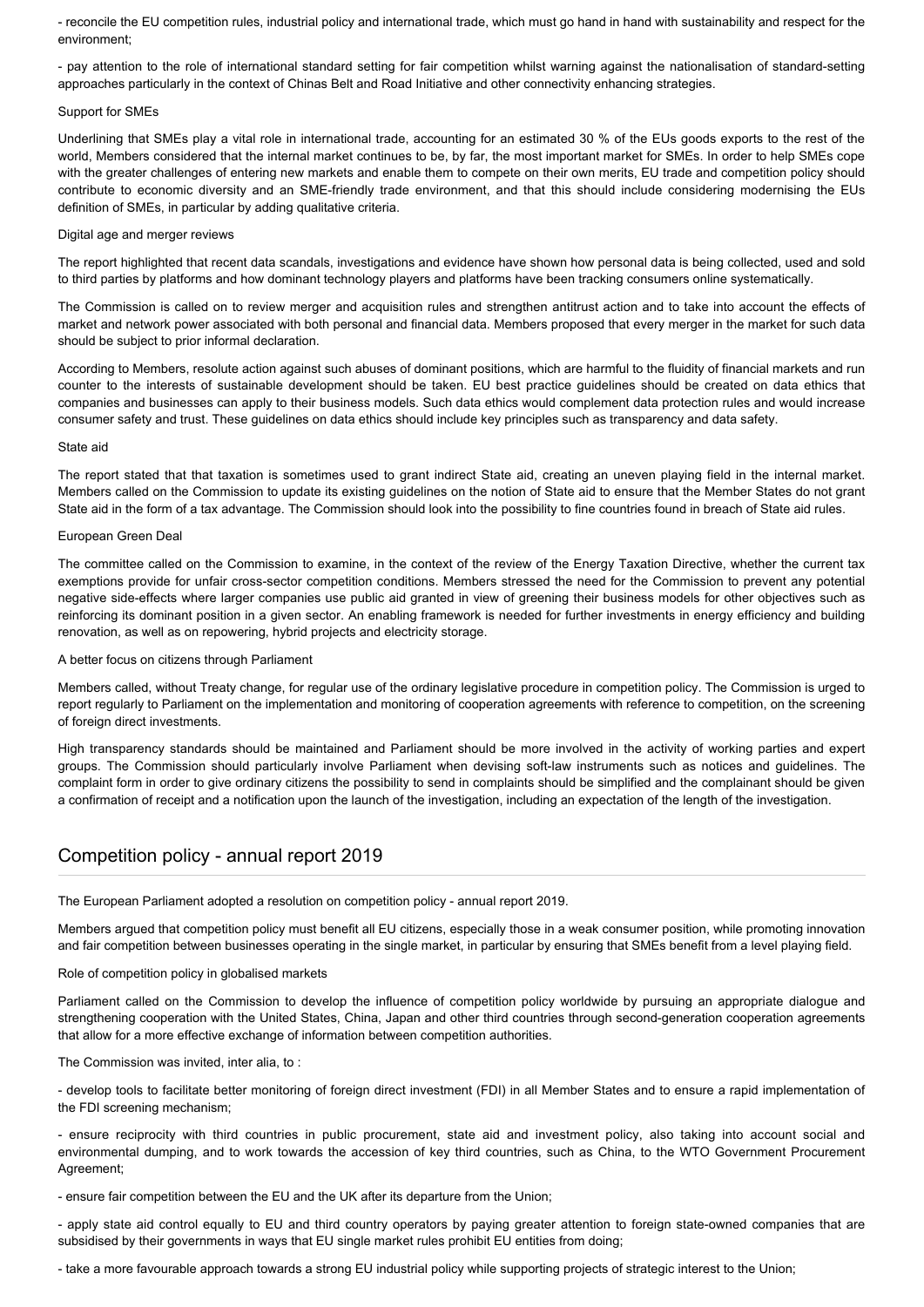- reconcile the EU competition rules, industrial policy and international trade, which must go hand in hand with sustainability and respect for the environment;

- pay attention to the role of international standard setting for fair competition whilst warning against the nationalisation of standard-setting approaches particularly in the context of Chinas Belt and Road Initiative and other connectivity enhancing strategies.

#### Support for SMEs

Underlining that SMEs play a vital role in international trade, accounting for an estimated 30 % of the EUs goods exports to the rest of the world, Members considered that the internal market continues to be, by far, the most important market for SMEs. In order to help SMEs cope with the greater challenges of entering new markets and enable them to compete on their own merits, EU trade and competition policy should contribute to economic diversity and an SME-friendly trade environment, and that this should include considering modernising the EUs definition of SMEs, in particular by adding qualitative criteria.

#### Digital age and merger reviews

The report highlighted that recent data scandals, investigations and evidence have shown how personal data is being collected, used and sold to third parties by platforms and how dominant technology players and platforms have been tracking consumers online systematically.

The Commission is called on to review merger and acquisition rules and strengthen antitrust action and to take into account the effects of market and network power associated with both personal and financial data. Members proposed that every merger in the market for such data should be subject to prior informal declaration.

According to Members, resolute action against such abuses of dominant positions, which are harmful to the fluidity of financial markets and run counter to the interests of sustainable development should be taken. EU best practice guidelines should be created on data ethics that companies and businesses can apply to their business models. Such data ethics would complement data protection rules and would increase consumer safety and trust. These guidelines on data ethics should include key principles such as transparency and data safety.

#### State aid

The report stated that that taxation is sometimes used to grant indirect State aid, creating an uneven playing field in the internal market. Members called on the Commission to update its existing guidelines on the notion of State aid to ensure that the Member States do not grant State aid in the form of a tax advantage. The Commission should look into the possibility to fine countries found in breach of State aid rules.

# European Green Deal

The committee called on the Commission to examine, in the context of the review of the Energy Taxation Directive, whether the current tax exemptions provide for unfair cross-sector competition conditions. Members stressed the need for the Commission to prevent any potential negative side-effects where larger companies use public aid granted in view of greening their business models for other objectives such as reinforcing its dominant position in a given sector. An enabling framework is needed for further investments in energy efficiency and building renovation, as well as on repowering, hybrid projects and electricity storage.

#### A better focus on citizens through Parliament

Members called, without Treaty change, for regular use of the ordinary legislative procedure in competition policy. The Commission is urged to report regularly to Parliament on the implementation and monitoring of cooperation agreements with reference to competition, on the screening of foreign direct investments.

High transparency standards should be maintained and Parliament should be more involved in the activity of working parties and expert groups. The Commission should particularly involve Parliament when devising soft-law instruments such as notices and guidelines. The complaint form in order to give ordinary citizens the possibility to send in complaints should be simplified and the complainant should be given a confirmation of receipt and a notification upon the launch of the investigation, including an expectation of the length of the investigation.

# Competition policy - annual report 2019

The European Parliament adopted a resolution on competition policy - annual report 2019.

Members argued that competition policy must benefit all EU citizens, especially those in a weak consumer position, while promoting innovation and fair competition between businesses operating in the single market, in particular by ensuring that SMEs benefit from a level playing field.

## Role of competition policy in globalised markets

Parliament called on the Commission to develop the influence of competition policy worldwide by pursuing an appropriate dialogue and strengthening cooperation with the United States, China, Japan and other third countries through second-generation cooperation agreements that allow for a more effective exchange of information between competition authorities.

The Commission was invited, inter alia, to :

- develop tools to facilitate better monitoring of foreign direct investment (FDI) in all Member States and to ensure a rapid implementation of the FDI screening mechanism;

- ensure reciprocity with third countries in public procurement, state aid and investment policy, also taking into account social and environmental dumping, and to work towards the accession of key third countries, such as China, to the WTO Government Procurement Agreement;

- ensure fair competition between the EU and the UK after its departure from the Union;

- apply state aid control equally to EU and third country operators by paying greater attention to foreign state-owned companies that are subsidised by their governments in ways that EU single market rules prohibit EU entities from doing;

- take a more favourable approach towards a strong EU industrial policy while supporting projects of strategic interest to the Union;